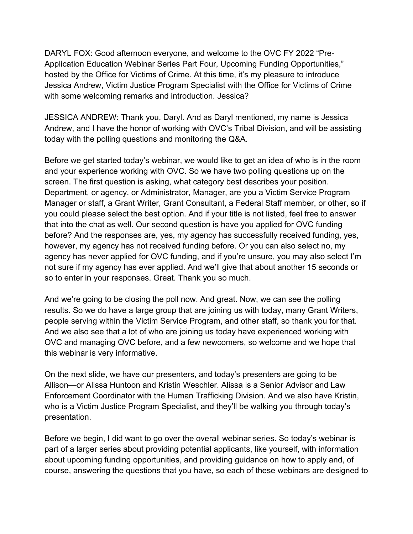DARYL FOX: Good afternoon everyone, and welcome to the OVC FY 2022 "Pre- Jessica Andrew, Victim Justice Program Specialist with the Office for Victims of Crime with some welcoming remarks and introduction. Jessica? Application Education Webinar Series Part Four, Upcoming Funding Opportunities," hosted by the Office for Victims of Crime. At this time, it's my pleasure to introduce

 JESSICA ANDREW: Thank you, Daryl. And as Daryl mentioned, my name is Jessica Andrew, and I have the honor of working with OVC's Tribal Division, and will be assisting today with the polling questions and monitoring the Q&A.

 Manager or staff, a Grant Writer, Grant Consultant, a Federal Staff member, or other, so if however, my agency has not received funding before. Or you can also select no, my not sure if my agency has ever applied. And we'll give that about another 15 seconds or so to enter in your responses. Great. Thank you so much. Before we get started today's webinar, we would like to get an idea of who is in the room and your experience working with OVC. So we have two polling questions up on the screen. The first question is asking, what category best describes your position. Department, or agency, or Administrator, Manager, are you a Victim Service Program you could please select the best option. And if your title is not listed, feel free to answer that into the chat as well. Our second question is have you applied for OVC funding before? And the responses are, yes, my agency has successfully received funding, yes, agency has never applied for OVC funding, and if you're unsure, you may also select I'm

 And we're going to be closing the poll now. And great. Now, we can see the polling results. So we do have a large group that are joining us with today, many Grant Writers, this webinar is very informative. people serving within the Victim Service Program, and other staff, so thank you for that. And we also see that a lot of who are joining us today have experienced working with OVC and managing OVC before, and a few newcomers, so welcome and we hope that

presentation. On the next slide, we have our presenters, and today's presenters are going to be Allison—or Alissa Huntoon and Kristin Weschler. Alissa is a Senior Advisor and Law Enforcement Coordinator with the Human Trafficking Division. And we also have Kristin, who is a Victim Justice Program Specialist, and they'll be walking you through today's

 about upcoming funding opportunities, and providing guidance on how to apply and, of Before we begin, I did want to go over the overall webinar series. So today's webinar is part of a larger series about providing potential applicants, like yourself, with information course, answering the questions that you have, so each of these webinars are designed to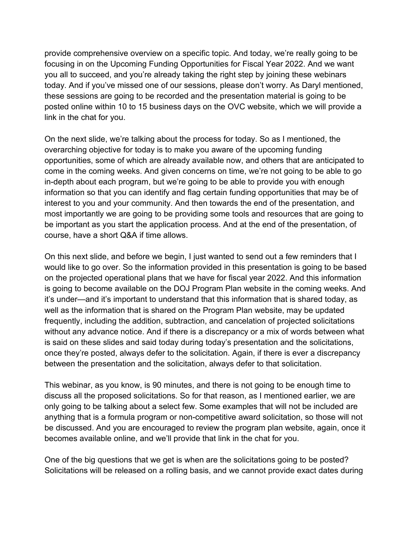today. And if you've missed one of our sessions, please don't worry. As Daryl mentioned, link in the chat for you. provide comprehensive overview on a specific topic. And today, we're really going to be focusing in on the Upcoming Funding Opportunities for Fiscal Year 2022. And we want you all to succeed, and you're already taking the right step by joining these webinars these sessions are going to be recorded and the presentation material is going to be posted online within 10 to 15 business days on the OVC website, which we will provide a

 opportunities, some of which are already available now, and others that are anticipated to come in the coming weeks. And given concerns on time, we're not going to be able to go interest to you and your community. And then towards the end of the presentation, and most importantly we are going to be providing some tools and resources that are going to course, have a short Q&A if time allows. On the next slide, we're talking about the process for today. So as I mentioned, the overarching objective for today is to make you aware of the upcoming funding in-depth about each program, but we're going to be able to provide you with enough information so that you can identify and flag certain funding opportunities that may be of be important as you start the application process. And at the end of the presentation, of

course, have a short Q&A if time allows.<br>On this next slide, and before we begin, I just wanted to send out a few reminders that I on the projected operational plans that we have for fiscal year 2022. And this information is going to become available on the DOJ Program Plan website in the coming weeks. And without any advance notice. And if there is a discrepancy or a mix of words between what between the presentation and the solicitation, always defer to that solicitation. would like to go over. So the information provided in this presentation is going to be based it's under—and it's important to understand that this information that is shared today, as well as the information that is shared on the Program Plan website, may be updated frequently, including the addition, subtraction, and cancelation of projected solicitations is said on these slides and said today during today's presentation and the solicitations, once they're posted, always defer to the solicitation. Again, if there is ever a discrepancy

 discuss all the proposed solicitations. So for that reason, as I mentioned earlier, we are only going to be talking about a select few. Some examples that will not be included are becomes available online, and we'll provide that link in the chat for you. This webinar, as you know, is 90 minutes, and there is not going to be enough time to anything that is a formula program or non-competitive award solicitation, so those will not be discussed. And you are encouraged to review the program plan website, again, once it

One of the big questions that we get is when are the solicitations going to be posted? Solicitations will be released on a rolling basis, and we cannot provide exact dates during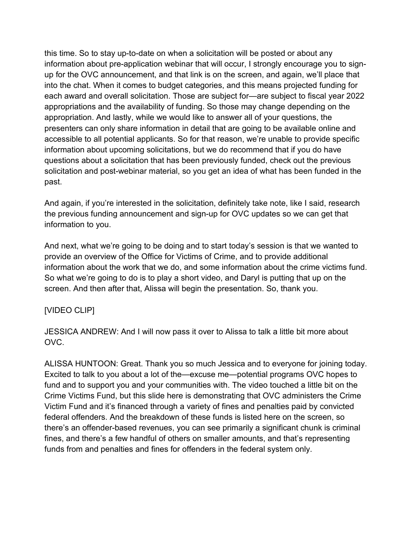this time. So to stay up-to-date on when a solicitation will be posted or about any into the chat. When it comes to budget categories, and this means projected funding for each award and overall solicitation. Those are subject for—are subject to fiscal year 2022 appropriations and the availability of funding. So those may change depending on the past. information about pre-application webinar that will occur, I strongly encourage you to signup for the OVC announcement, and that link is on the screen, and again, we'll place that appropriation. And lastly, while we would like to answer all of your questions, the presenters can only share information in detail that are going to be available online and accessible to all potential applicants. So for that reason, we're unable to provide specific information about upcoming solicitations, but we do recommend that if you do have questions about a solicitation that has been previously funded, check out the previous solicitation and post-webinar material, so you get an idea of what has been funded in the

information to you. And again, if you're interested in the solicitation, definitely take note, like I said, research the previous funding announcement and sign-up for OVC updates so we can get that

information to you.<br>And next, what we're going to be doing and to start today's session is that we wanted to information about the work that we do, and some information about the crime victims fund. provide an overview of the Office for Victims of Crime, and to provide additional So what we're going to do is to play a short video, and Daryl is putting that up on the screen. And then after that, Alissa will begin the presentation. So, thank you.

## [VIDEO CLIP]

JESSICA ANDREW: And I will now pass it over to Alissa to talk a little bit more about OVC.

 funds from and penalties and fines for offenders in the federal system only. ALISSA HUNTOON: Great. Thank you so much Jessica and to everyone for joining today. Excited to talk to you about a lot of the—excuse me—potential programs OVC hopes to fund and to support you and your communities with. The video touched a little bit on the Crime Victims Fund, but this slide here is demonstrating that OVC administers the Crime Victim Fund and it's financed through a variety of fines and penalties paid by convicted federal offenders. And the breakdown of these funds is listed here on the screen, so there's an offender-based revenues, you can see primarily a significant chunk is criminal fines, and there's a few handful of others on smaller amounts, and that's representing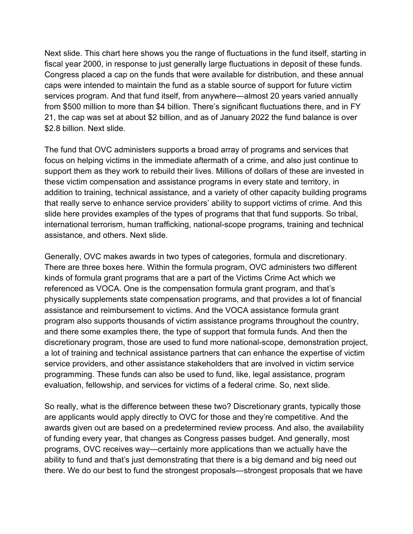from \$500 million to more than \$4 billion. There's significant fluctuations there, and in FY \$2.8 billion. Next slide. Next slide. This chart here shows you the range of fluctuations in the fund itself, starting in fiscal year 2000, in response to just generally large fluctuations in deposit of these funds. Congress placed a cap on the funds that were available for distribution, and these annual caps were intended to maintain the fund as a stable source of support for future victim services program. And that fund itself, from anywhere—almost 20 years varied annually 21, the cap was set at about \$2 billion, and as of January 2022 the fund balance is over

 support them as they work to rebuild their lives. Millions of dollars of these are invested in assistance, and others. Next slide. The fund that OVC administers supports a broad array of programs and services that focus on helping victims in the immediate aftermath of a crime, and also just continue to these victim compensation and assistance programs in every state and territory, in addition to training, technical assistance, and a variety of other capacity building programs that really serve to enhance service providers' ability to support victims of crime. And this slide here provides examples of the types of programs that that fund supports. So tribal, international terrorism, human trafficking, national-scope programs, training and technical

 Generally, OVC makes awards in two types of categories, formula and discretionary. kinds of formula grant programs that are a part of the Victims Crime Act which we referenced as VOCA. One is the compensation formula grant program, and that's physically supplements state compensation programs, and that provides a lot of financial program also supports thousands of victim assistance programs throughout the country, discretionary program, those are used to fund more national-scope, demonstration project, evaluation, fellowship, and services for victims of a federal crime. So, next slide. There are three boxes here. Within the formula program, OVC administers two different assistance and reimbursement to victims. And the VOCA assistance formula grant and there some examples there, the type of support that formula funds. And then the a lot of training and technical assistance partners that can enhance the expertise of victim service providers, and other assistance stakeholders that are involved in victim service programming. These funds can also be used to fund, like, legal assistance, program

 there. We do our best to fund the strongest proposals—strongest proposals that we have So really, what is the difference between these two? Discretionary grants, typically those are applicants would apply directly to OVC for those and they're competitive. And the awards given out are based on a predetermined review process. And also, the availability of funding every year, that changes as Congress passes budget. And generally, most programs, OVC receives way—certainly more applications than we actually have the ability to fund and that's just demonstrating that there is a big demand and big need out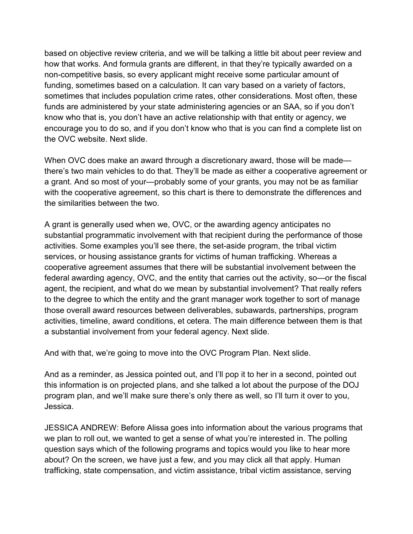based on objective review criteria, and we will be talking a little bit about peer review and funding, sometimes based on a calculation. It can vary based on a variety of factors, the OVC website. Next slide. how that works. And formula grants are different, in that they're typically awarded on a non-competitive basis, so every applicant might receive some particular amount of sometimes that includes population crime rates, other considerations. Most often, these funds are administered by your state administering agencies or an SAA, so if you don't know who that is, you don't have an active relationship with that entity or agency, we encourage you to do so, and if you don't know who that is you can find a complete list on

 When OVC does make an award through a discretionary award, those will be made— there's two main vehicles to do that. They'll be made as either a cooperative agreement or the similarities between the two. a grant. And so most of your—probably some of your grants, you may not be as familiar with the cooperative agreement, so this chart is there to demonstrate the differences and

 to the degree to which the entity and the grant manager work together to sort of manage a substantial involvement from your federal agency. Next slide. A grant is generally used when we, OVC, or the awarding agency anticipates no substantial programmatic involvement with that recipient during the performance of those activities. Some examples you'll see there, the set-aside program, the tribal victim services, or housing assistance grants for victims of human trafficking. Whereas a cooperative agreement assumes that there will be substantial involvement between the federal awarding agency, OVC, and the entity that carries out the activity, so—or the fiscal agent, the recipient, and what do we mean by substantial involvement? That really refers those overall award resources between deliverables, subawards, partnerships, program activities, timeline, award conditions, et cetera. The main difference between them is that

And with that, we're going to move into the OVC Program Plan. Next slide.

 And as a reminder, as Jessica pointed out, and I'll pop it to her in a second, pointed out this information is on projected plans, and she talked a lot about the purpose of the DOJ program plan, and we'll make sure there's only there as well, so I'll turn it over to you, Jessica.

 we plan to roll out, we wanted to get a sense of what you're interested in. The polling question says which of the following programs and topics would you like to hear more JESSICA ANDREW: Before Alissa goes into information about the various programs that about? On the screen, we have just a few, and you may click all that apply. Human trafficking, state compensation, and victim assistance, tribal victim assistance, serving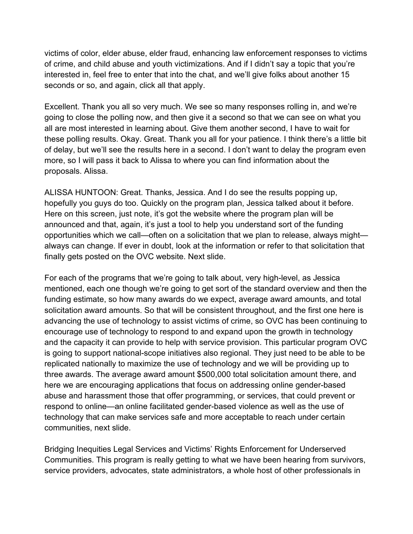seconds or so, and again, click all that apply. victims of color, elder abuse, elder fraud, enhancing law enforcement responses to victims of crime, and child abuse and youth victimizations. And if I didn't say a topic that you're interested in, feel free to enter that into the chat, and we'll give folks about another 15

 these polling results. Okay. Great. Thank you all for your patience. I think there's a little bit more, so I will pass it back to Alissa to where you can find information about the proposals. Alissa. Excellent. Thank you all so very much. We see so many responses rolling in, and we're going to close the polling now, and then give it a second so that we can see on what you all are most interested in learning about. Give them another second, I have to wait for of delay, but we'll see the results here in a second. I don't want to delay the program even

 finally gets posted on the OVC website. Next slide. ALISSA HUNTOON: Great. Thanks, Jessica. And I do see the results popping up, hopefully you guys do too. Quickly on the program plan, Jessica talked about it before. Here on this screen, just note, it's got the website where the program plan will be announced and that, again, it's just a tool to help you understand sort of the funding opportunities which we call—often on a solicitation that we plan to release, always might always can change. If ever in doubt, look at the information or refer to that solicitation that

 funding estimate, so how many awards do we expect, average award amounts, and total advancing the use of technology to assist victims of crime, so OVC has been continuing to is going to support national-scope initiatives also regional. They just need to be able to be communities, next slide. For each of the programs that we're going to talk about, very high-level, as Jessica mentioned, each one though we're going to get sort of the standard overview and then the solicitation award amounts. So that will be consistent throughout, and the first one here is encourage use of technology to respond to and expand upon the growth in technology and the capacity it can provide to help with service provision. This particular program OVC replicated nationally to maximize the use of technology and we will be providing up to three awards. The average award amount \$500,000 total solicitation amount there, and here we are encouraging applications that focus on addressing online gender-based abuse and harassment those that offer programming, or services, that could prevent or respond to online—an online facilitated gender-based violence as well as the use of technology that can make services safe and more acceptable to reach under certain

Bridging Inequities Legal Services and Victims' Rights Enforcement for Underserved Communities. This program is really getting to what we have been hearing from survivors, service providers, advocates, state administrators, a whole host of other professionals in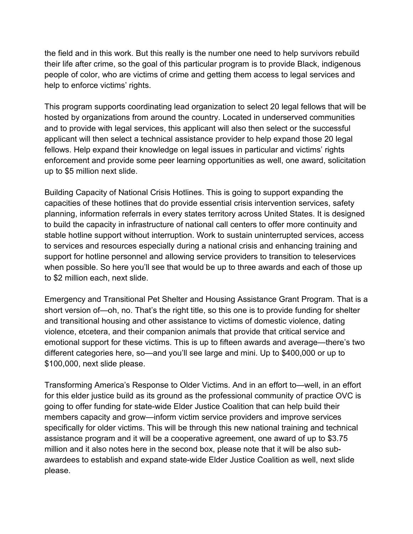help to enforce victims' rights. the field and in this work. But this really is the number one need to help survivors rebuild their life after crime, so the goal of this particular program is to provide Black, indigenous people of color, who are victims of crime and getting them access to legal services and

 hosted by organizations from around the country. Located in underserved communities up to \$5 million next slide. This program supports coordinating lead organization to select 20 legal fellows that will be and to provide with legal services, this applicant will also then select or the successful applicant will then select a technical assistance provider to help expand those 20 legal fellows. Help expand their knowledge on legal issues in particular and victims' rights enforcement and provide some peer learning opportunities as well, one award, solicitation

 planning, information referrals in every states territory across United States. It is designed to \$2 million each, next slide. Building Capacity of National Crisis Hotlines. This is going to support expanding the capacities of these hotlines that do provide essential crisis intervention services, safety to build the capacity in infrastructure of national call centers to offer more continuity and stable hotline support without interruption. Work to sustain uninterrupted services, access to services and resources especially during a national crisis and enhancing training and support for hotline personnel and allowing service providers to transition to teleservices when possible. So here you'll see that would be up to three awards and each of those up

 short version of—oh, no. That's the right title, so this one is to provide funding for shelter \$100,000, next slide please. Emergency and Transitional Pet Shelter and Housing Assistance Grant Program. That is a and transitional housing and other assistance to victims of domestic violence, dating violence, etcetera, and their companion animals that provide that critical service and emotional support for these victims. This is up to fifteen awards and average—there's two different categories here, so—and you'll see large and mini. Up to \$400,000 or up to

\$100,000, next slide please.<br>Transforming America's Response to Older Victims. And in an effort to—well, in an effort for this elder justice build as its ground as the professional community of practice OVC is members capacity and grow—inform victim service providers and improve services please. going to offer funding for state-wide Elder Justice Coalition that can help build their specifically for older victims. This will be through this new national training and technical assistance program and it will be a cooperative agreement, one award of up to \$3.75 million and it also notes here in the second box, please note that it will be also subawardees to establish and expand state-wide Elder Justice Coalition as well, next slide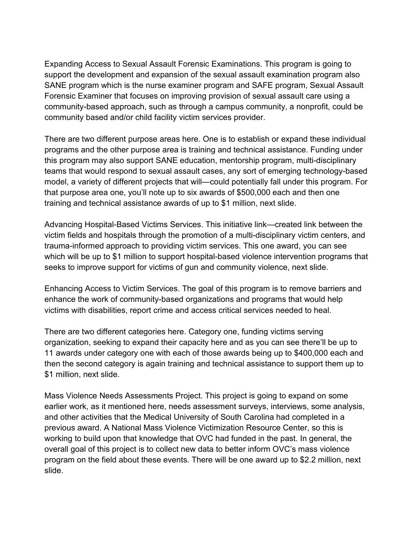Expanding Access to Sexual Assault Forensic Examinations. This program is going to Forensic Examiner that focuses on improving provision of sexual assault care using a community-based approach, such as through a campus community, a nonprofit, could be community based and/or child facility victim services provider. support the development and expansion of the sexual assault examination program also SANE program which is the nurse examiner program and SAFE program, Sexual Assault

 teams that would respond to sexual assault cases, any sort of emerging technology-based training and technical assistance awards of up to \$1 million, next slide. There are two different purpose areas here. One is to establish or expand these individual programs and the other purpose area is training and technical assistance. Funding under this program may also support SANE education, mentorship program, multi-disciplinary model, a variety of different projects that will—could potentially fall under this program. For that purpose area one, you'll note up to six awards of \$500,000 each and then one

 victim fields and hospitals through the promotion of a multi-disciplinary victim centers, and which will be up to \$1 million to support hospital-based violence intervention programs that seeks to improve support for victims of gun and community violence, next slide. Advancing Hospital-Based Victims Services. This initiative link—created link between the trauma-informed approach to providing victim services. This one award, you can see

 victims with disabilities, report crime and access critical services needed to heal. Enhancing Access to Victim Services. The goal of this program is to remove barriers and enhance the work of community-based organizations and programs that would help

\$1 million, next slide. There are two different categories here. Category one, funding victims serving organization, seeking to expand their capacity here and as you can see there'll be up to 11 awards under category one with each of those awards being up to \$400,000 each and then the second category is again training and technical assistance to support them up to

\$1 million, next slide.<br>Mass Violence Needs Assessments Project. This project is going to expand on some and other activities that the Medical University of South Carolina had completed in a working to build upon that knowledge that OVC had funded in the past. In general, the program on the field about these events. There will be one award up to \$2.2 million, next slide. earlier work, as it mentioned here, needs assessment surveys, interviews, some analysis, previous award. A National Mass Violence Victimization Resource Center, so this is overall goal of this project is to collect new data to better inform OVC's mass violence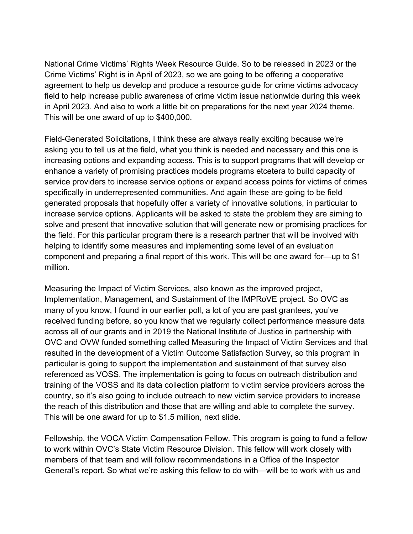This will be one award of up to \$400,000. National Crime Victims' Rights Week Resource Guide. So to be released in 2023 or the Crime Victims' Right is in April of 2023, so we are going to be offering a cooperative agreement to help us develop and produce a resource guide for crime victims advocacy field to help increase public awareness of crime victim issue nationwide during this week in April 2023. And also to work a little bit on preparations for the next year 2024 theme.

 asking you to tell us at the field, what you think is needed and necessary and this one is helping to identify some measures and implementing some level of an evaluation component and preparing a final report of this work. This will be one award for—up to \$1 million. Field-Generated Solicitations, I think these are always really exciting because we're increasing options and expanding access. This is to support programs that will develop or enhance a variety of promising practices models programs etcetera to build capacity of service providers to increase service options or expand access points for victims of crimes specifically in underrepresented communities. And again these are going to be field generated proposals that hopefully offer a variety of innovative solutions, in particular to increase service options. Applicants will be asked to state the problem they are aiming to solve and present that innovative solution that will generate new or promising practices for the field. For this particular program there is a research partner that will be involved with

 Implementation, Management, and Sustainment of the IMPRoVE project. So OVC as many of you know, I found in our earlier poll, a lot of you are past grantees, you've This will be one award for up to \$1.5 million, next slide. Measuring the Impact of Victim Services, also known as the improved project, received funding before, so you know that we regularly collect performance measure data across all of our grants and in 2019 the National Institute of Justice in partnership with OVC and OVW funded something called Measuring the Impact of Victim Services and that resulted in the development of a Victim Outcome Satisfaction Survey, so this program in particular is going to support the implementation and sustainment of that survey also referenced as VOSS. The implementation is going to focus on outreach distribution and training of the VOSS and its data collection platform to victim service providers across the country, so it's also going to include outreach to new victim service providers to increase the reach of this distribution and those that are willing and able to complete the survey.

 General's report. So what we're asking this fellow to do with—will be to work with us and Fellowship, the VOCA Victim Compensation Fellow. This program is going to fund a fellow to work within OVC's State Victim Resource Division. This fellow will work closely with members of that team and will follow recommendations in a Office of the Inspector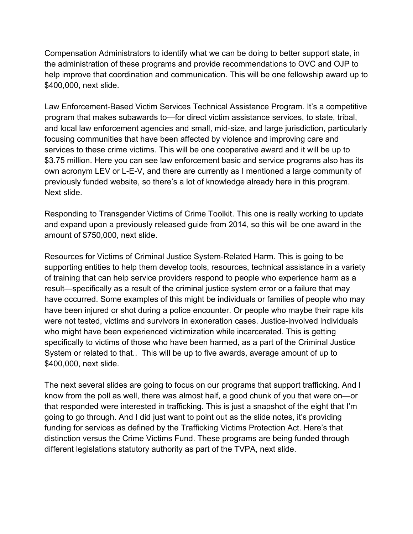help improve that coordination and communication. This will be one fellowship award up to \$400,000, next slide. Compensation Administrators to identify what we can be doing to better support state, in the administration of these programs and provide recommendations to OVC and OJP to

\$400,000, next slide.<br>Law Enforcement-Based Victim Services Technical Assistance Program. It's a competitive program that makes subawards to—for direct victim assistance services, to state, tribal, \$3.75 million. Here you can see law enforcement basic and service programs also has its previously funded website, so there's a lot of knowledge already here in this program. Next slide. and local law enforcement agencies and small, mid-size, and large jurisdiction, particularly focusing communities that have been affected by violence and improving care and services to these crime victims. This will be one cooperative award and it will be up to own acronym LEV or L-E-V, and there are currently as I mentioned a large community of

amount of \$750,000, next slide. Responding to Transgender Victims of Crime Toolkit. This one is really working to update and expand upon a previously released guide from 2014, so this will be one award in the

 have occurred. Some examples of this might be individuals or families of people who may specifically to victims of those who have been harmed, as a part of the Criminal Justice \$400,000, next slide. Resources for Victims of Criminal Justice System-Related Harm. This is going to be supporting entities to help them develop tools, resources, technical assistance in a variety of training that can help service providers respond to people who experience harm as a result—specifically as a result of the criminal justice system error or a failure that may have been injured or shot during a police encounter. Or people who maybe their rape kits were not tested, victims and survivors in exoneration cases. Justice-involved individuals who might have been experienced victimization while incarcerated. This is getting System or related to that.. This will be up to five awards, average amount of up to

 know from the poll as well, there was almost half, a good chunk of you that were on—or going to go through. And I did just want to point out as the slide notes, it's providing The next several slides are going to focus on our programs that support trafficking. And I that responded were interested in trafficking. This is just a snapshot of the eight that I'm funding for services as defined by the Trafficking Victims Protection Act. Here's that distinction versus the Crime Victims Fund. These programs are being funded through different legislations statutory authority as part of the TVPA, next slide.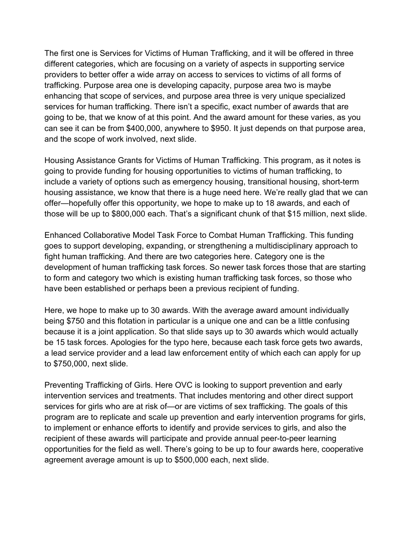different categories, which are focusing on a variety of aspects in supporting service trafficking. Purpose area one is developing capacity, purpose area two is maybe going to be, that we know of at this point. And the award amount for these varies, as you can see it can be from \$400,000, anywhere to \$950. It just depends on that purpose area, and the scope of work involved, next slide. The first one is Services for Victims of Human Trafficking, and it will be offered in three providers to better offer a wide array on access to services to victims of all forms of enhancing that scope of services, and purpose area three is very unique specialized services for human trafficking. There isn't a specific, exact number of awards that are

and the scope of work involved, next slide.<br>Housing Assistance Grants for Victims of Human Trafficking. This program, as it notes is include a variety of options such as emergency housing, transitional housing, short-term those will be up to \$800,000 each. That's a significant chunk of that \$15 million, next slide. going to provide funding for housing opportunities to victims of human trafficking, to housing assistance, we know that there is a huge need here. We're really glad that we can offer—hopefully offer this opportunity, we hope to make up to 18 awards, and each of

have been established or perhaps been a previous recipient of funding. Enhanced Collaborative Model Task Force to Combat Human Trafficking. This funding goes to support developing, expanding, or strengthening a multidisciplinary approach to fight human trafficking. And there are two categories here. Category one is the development of human trafficking task forces. So newer task forces those that are starting to form and category two which is existing human trafficking task forces, so those who

 because it is a joint application. So that slide says up to 30 awards which would actually be 15 task forces. Apologies for the typo here, because each task force gets two awards, a lead service provider and a lead law enforcement entity of which each can apply for up to \$750,000, next slide. Here, we hope to make up to 30 awards. With the average award amount individually being \$750 and this flotation in particular is a unique one and can be a little confusing

 services for girls who are at risk of—or are victims of sex trafficking. The goals of this program are to replicate and scale up prevention and early intervention programs for girls, agreement average amount is up to \$500,000 each, next slide. Preventing Trafficking of Girls. Here OVC is looking to support prevention and early intervention services and treatments. That includes mentoring and other direct support to implement or enhance efforts to identify and provide services to girls, and also the recipient of these awards will participate and provide annual peer-to-peer learning opportunities for the field as well. There's going to be up to four awards here, cooperative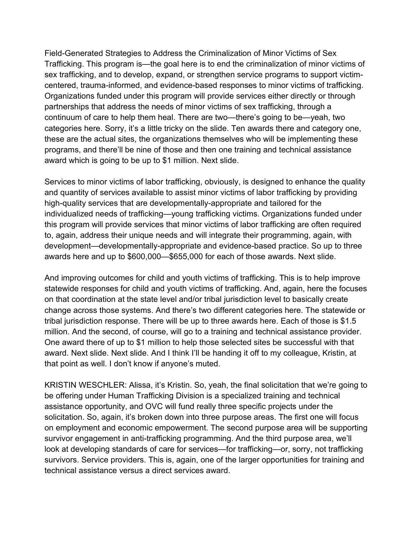Field-Generated Strategies to Address the Criminalization of Minor Victims of Sex Trafficking. This program is—the goal here is to end the criminalization of minor victims of sex trafficking, and to develop, expand, or strengthen service programs to support victim- award which is going to be up to \$1 million. Next slide. centered, trauma-informed, and evidence-based responses to minor victims of trafficking. Organizations funded under this program will provide services either directly or through partnerships that address the needs of minor victims of sex trafficking, through a continuum of care to help them heal. There are two—there's going to be—yeah, two categories here. Sorry, it's a little tricky on the slide. Ten awards there and category one, these are the actual sites, the organizations themselves who will be implementing these programs, and there'll be nine of those and then one training and technical assistance

 and quantity of services available to assist minor victims of labor trafficking by providing individualized needs of trafficking—young trafficking victims. Organizations funded under this program will provide services that minor victims of labor trafficking are often required awards here and up to \$600,000—\$655,000 for each of those awards. Next slide. Services to minor victims of labor trafficking, obviously, is designed to enhance the quality high-quality services that are developmentally-appropriate and tailored for the to, again, address their unique needs and will integrate their programming, again, with development—developmentally-appropriate and evidence-based practice. So up to three

 And improving outcomes for child and youth victims of trafficking. This is to help improve award. Next slide. Next slide. And I think I'll be handing it off to my colleague, Kristin, at statewide responses for child and youth victims of trafficking. And, again, here the focuses on that coordination at the state level and/or tribal jurisdiction level to basically create change across those systems. And there's two different categories here. The statewide or tribal jurisdiction response. There will be up to three awards here. Each of those is \$1.5 million. And the second, of course, will go to a training and technical assistance provider. One award there of up to \$1 million to help those selected sites be successful with that that point as well. I don't know if anyone's muted.

 survivors. Service providers. This is, again, one of the larger opportunities for training and technical assistance versus a direct services award. KRISTIN WESCHLER: Alissa, it's Kristin. So, yeah, the final solicitation that we're going to be offering under Human Trafficking Division is a specialized training and technical assistance opportunity, and OVC will fund really three specific projects under the solicitation. So, again, it's broken down into three purpose areas. The first one will focus on employment and economic empowerment. The second purpose area will be supporting survivor engagement in anti-trafficking programming. And the third purpose area, we'll look at developing standards of care for services—for trafficking—or, sorry, not trafficking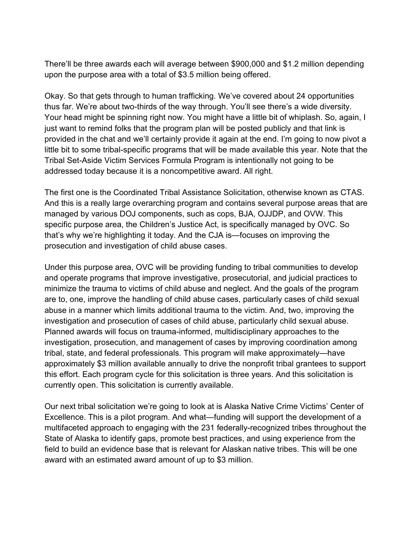upon the purpose area with a total of \$3.5 million being offered. There'll be three awards each will average between \$900,000 and \$1.2 million depending

 Your head might be spinning right now. You might have a little bit of whiplash. So, again, I little bit to some tribal-specific programs that will be made available this year. Note that the addressed today because it is a noncompetitive award. All right. Okay. So that gets through to human trafficking. We've covered about 24 opportunities thus far. We're about two-thirds of the way through. You'll see there's a wide diversity. just want to remind folks that the program plan will be posted publicly and that link is provided in the chat and we'll certainly provide it again at the end. I'm going to now pivot a Tribal Set-Aside Victim Services Formula Program is intentionally not going to be

 And this is a really large overarching program and contains several purpose areas that are managed by various DOJ components, such as cops, BJA, OJJDP, and OVW. This prosecution and investigation of child abuse cases. The first one is the Coordinated Tribal Assistance Solicitation, otherwise known as CTAS. specific purpose area, the Children's Justice Act, is specifically managed by OVC. So that's why we're highlighting it today. And the CJA is—focuses on improving the

 currently open. This solicitation is currently available. Under this purpose area, OVC will be providing funding to tribal communities to develop and operate programs that improve investigative, prosecutorial, and judicial practices to minimize the trauma to victims of child abuse and neglect. And the goals of the program are to, one, improve the handling of child abuse cases, particularly cases of child sexual abuse in a manner which limits additional trauma to the victim. And, two, improving the investigation and prosecution of cases of child abuse, particularly child sexual abuse. Planned awards will focus on trauma-informed, multidisciplinary approaches to the investigation, prosecution, and management of cases by improving coordination among tribal, state, and federal professionals. This program will make approximately—have approximately \$3 million available annually to drive the nonprofit tribal grantees to support this effort. Each program cycle for this solicitation is three years. And this solicitation is

 field to build an evidence base that is relevant for Alaskan native tribes. This will be one award with an estimated award amount of up to \$3 million. Our next tribal solicitation we're going to look at is Alaska Native Crime Victims' Center of Excellence. This is a pilot program. And what—funding will support the development of a multifaceted approach to engaging with the 231 federally-recognized tribes throughout the State of Alaska to identify gaps, promote best practices, and using experience from the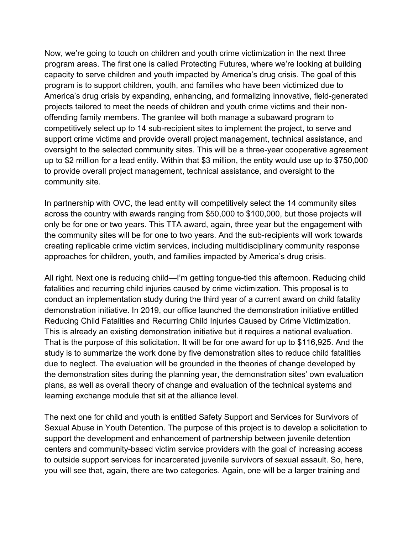program areas. The first one is called Protecting Futures, where we're looking at building capacity to serve children and youth impacted by America's drug crisis. The goal of this community site. Now, we're going to touch on children and youth crime victimization in the next three program is to support children, youth, and families who have been victimized due to America's drug crisis by expanding, enhancing, and formalizing innovative, field-generated projects tailored to meet the needs of children and youth crime victims and their nonoffending family members. The grantee will both manage a subaward program to competitively select up to 14 sub-recipient sites to implement the project, to serve and support crime victims and provide overall project management, technical assistance, and oversight to the selected community sites. This will be a three-year cooperative agreement up to \$2 million for a lead entity. Within that \$3 million, the entity would use up to \$750,000 to provide overall project management, technical assistance, and oversight to the

 across the country with awards ranging from \$50,000 to \$100,000, but those projects will only be for one or two years. This TTA award, again, three year but the engagement with approaches for children, youth, and families impacted by America's drug crisis. In partnership with OVC, the lead entity will competitively select the 14 community sites the community sites will be for one to two years. And the sub-recipients will work towards creating replicable crime victim services, including multidisciplinary community response

 demonstration initiative. In 2019, our office launched the demonstration initiative entitled That is the purpose of this solicitation. It will be for one award for up to \$116,925. And the plans, as well as overall theory of change and evaluation of the technical systems and learning exchange module that sit at the alliance level. All right. Next one is reducing child—I'm getting tongue-tied this afternoon. Reducing child fatalities and recurring child injuries caused by crime victimization. This proposal is to conduct an implementation study during the third year of a current award on child fatality Reducing Child Fatalities and Recurring Child Injuries Caused by Crime Victimization. This is already an existing demonstration initiative but it requires a national evaluation. study is to summarize the work done by five demonstration sites to reduce child fatalities due to neglect. The evaluation will be grounded in the theories of change developed by the demonstration sites during the planning year, the demonstration sites' own evaluation

learning exchange module that sit at the alliance level.<br>The next one for child and youth is entitled Safety Support and Services for Survivors of Sexual Abuse in Youth Detention. The purpose of this project is to develop a solicitation to support the development and enhancement of partnership between juvenile detention centers and community-based victim service providers with the goal of increasing access to outside support services for incarcerated juvenile survivors of sexual assault. So, here, you will see that, again, there are two categories. Again, one will be a larger training and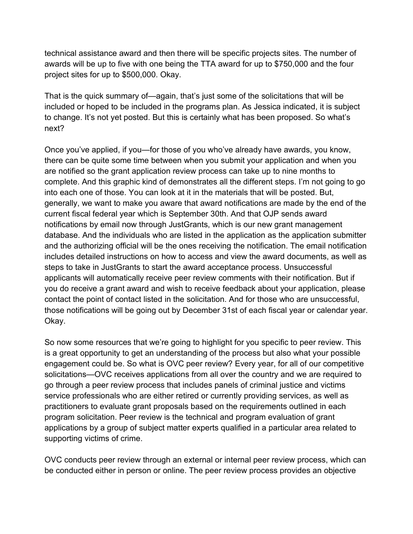technical assistance award and then there will be specific projects sites. The number of project sites for up to \$500,000. Okay. awards will be up to five with one being the TTA award for up to \$750,000 and the four

next? That is the quick summary of—again, that's just some of the solicitations that will be included or hoped to be included in the programs plan. As Jessica indicated, it is subject to change. It's not yet posted. But this is certainly what has been proposed. So what's

next?<br>Once you've applied, if you—for those of you who've already have awards, you know, complete. And this graphic kind of demonstrates all the different steps. I'm not going to go those notifications will be going out by December 31st of each fiscal year or calendar year. Okay. there can be quite some time between when you submit your application and when you are notified so the grant application review process can take up to nine months to into each one of those. You can look at it in the materials that will be posted. But, generally, we want to make you aware that award notifications are made by the end of the current fiscal federal year which is September 30th. And that OJP sends award notifications by email now through JustGrants, which is our new grant management database. And the individuals who are listed in the application as the application submitter and the authorizing official will be the ones receiving the notification. The email notification includes detailed instructions on how to access and view the award documents, as well as steps to take in JustGrants to start the award acceptance process. Unsuccessful applicants will automatically receive peer review comments with their notification. But if you do receive a grant award and wish to receive feedback about your application, please contact the point of contact listed in the solicitation. And for those who are unsuccessful,

 engagement could be. So what is OVC peer review? Every year, for all of our competitive service professionals who are either retired or currently providing services, as well as supporting victims of crime. So now some resources that we're going to highlight for you specific to peer review. This is a great opportunity to get an understanding of the process but also what your possible solicitations—OVC receives applications from all over the country and we are required to go through a peer review process that includes panels of criminal justice and victims practitioners to evaluate grant proposals based on the requirements outlined in each program solicitation. Peer review is the technical and program evaluation of grant applications by a group of subject matter experts qualified in a particular area related to

 be conducted either in person or online. The peer review process provides an objective OVC conducts peer review through an external or internal peer review process, which can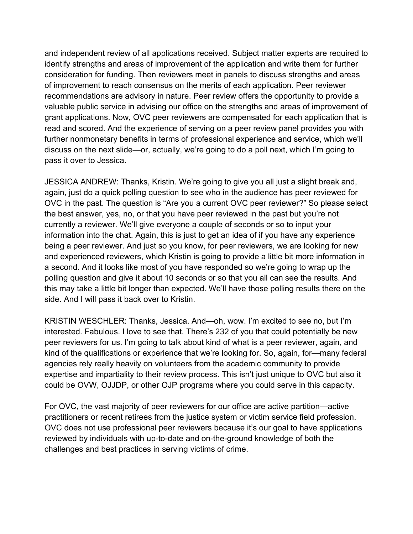identify strengths and areas of improvement of the application and write them for further and independent review of all applications received. Subject matter experts are required to consideration for funding. Then reviewers meet in panels to discuss strengths and areas of improvement to reach consensus on the merits of each application. Peer reviewer recommendations are advisory in nature. Peer review offers the opportunity to provide a valuable public service in advising our office on the strengths and areas of improvement of grant applications. Now, OVC peer reviewers are compensated for each application that is read and scored. And the experience of serving on a peer review panel provides you with further nonmonetary benefits in terms of professional experience and service, which we'll discuss on the next slide—or, actually, we're going to do a poll next, which I'm going to pass it over to Jessica.

 the best answer, yes, no, or that you have peer reviewed in the past but you're not being a peer reviewer. And just so you know, for peer reviewers, we are looking for new JESSICA ANDREW: Thanks, Kristin. We're going to give you all just a slight break and, again, just do a quick polling question to see who in the audience has peer reviewed for OVC in the past. The question is "Are you a current OVC peer reviewer?" So please select currently a reviewer. We'll give everyone a couple of seconds or so to input your information into the chat. Again, this is just to get an idea of if you have any experience and experienced reviewers, which Kristin is going to provide a little bit more information in a second. And it looks like most of you have responded so we're going to wrap up the polling question and give it about 10 seconds or so that you all can see the results. And this may take a little bit longer than expected. We'll have those polling results there on the side. And I will pass it back over to Kristin.

 interested. Fabulous. I love to see that. There's 232 of you that could potentially be new expertise and impartiality to their review process. This isn't just unique to OVC but also it could be OVW, OJJDP, or other OJP programs where you could serve in this capacity. KRISTIN WESCHLER: Thanks, Jessica. And—oh, wow. I'm excited to see no, but I'm peer reviewers for us. I'm going to talk about kind of what is a peer reviewer, again, and kind of the qualifications or experience that we're looking for. So, again, for—many federal agencies rely really heavily on volunteers from the academic community to provide

 challenges and best practices in serving victims of crime. For OVC, the vast majority of peer reviewers for our office are active partition—active practitioners or recent retirees from the justice system or victim service field profession. OVC does not use professional peer reviewers because it's our goal to have applications reviewed by individuals with up-to-date and on-the-ground knowledge of both the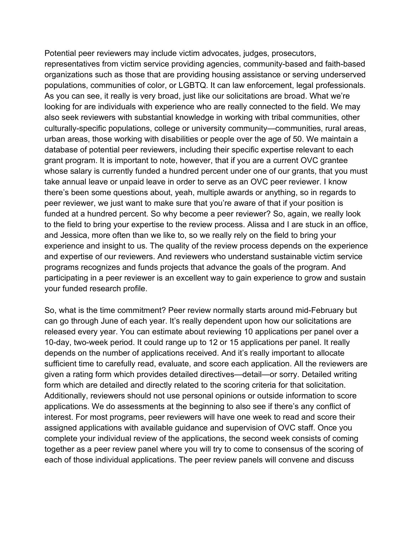representatives from victim service providing agencies, community-based and faith-based populations, communities of color, or LGBTQ. It can law enforcement, legal professionals. take annual leave or unpaid leave in order to serve as an OVC peer reviewer. I know experience and insight to us. The quality of the review process depends on the experience your funded research profile. Potential peer reviewers may include victim advocates, judges, prosecutors, organizations such as those that are providing housing assistance or serving underserved As you can see, it really is very broad, just like our solicitations are broad. What we're looking for are individuals with experience who are really connected to the field. We may also seek reviewers with substantial knowledge in working with tribal communities, other culturally-specific populations, college or university community—communities, rural areas, urban areas, those working with disabilities or people over the age of 50. We maintain a database of potential peer reviewers, including their specific expertise relevant to each grant program. It is important to note, however, that if you are a current OVC grantee whose salary is currently funded a hundred percent under one of our grants, that you must there's been some questions about, yeah, multiple awards or anything, so in regards to peer reviewer, we just want to make sure that you're aware of that if your position is funded at a hundred percent. So why become a peer reviewer? So, again, we really look to the field to bring your expertise to the review process. Alissa and I are stuck in an office, and Jessica, more often than we like to, so we really rely on the field to bring your and expertise of our reviewers. And reviewers who understand sustainable victim service programs recognizes and funds projects that advance the goals of the program. And participating in a peer reviewer is an excellent way to gain experience to grow and sustain

 10-day, two-week period. It could range up to 12 or 15 applications per panel. It really sufficient time to carefully read, evaluate, and score each application. All the reviewers are interest. For most programs, peer reviewers will have one week to read and score their complete your individual review of the applications, the second week consists of coming So, what is the time commitment? Peer review normally starts around mid-February but can go through June of each year. It's really dependent upon how our solicitations are released every year. You can estimate about reviewing 10 applications per panel over a depends on the number of applications received. And it's really important to allocate given a rating form which provides detailed directives—detail—or sorry. Detailed writing form which are detailed and directly related to the scoring criteria for that solicitation. Additionally, reviewers should not use personal opinions or outside information to score applications. We do assessments at the beginning to also see if there's any conflict of assigned applications with available guidance and supervision of OVC staff. Once you together as a peer review panel where you will try to come to consensus of the scoring of each of those individual applications. The peer review panels will convene and discuss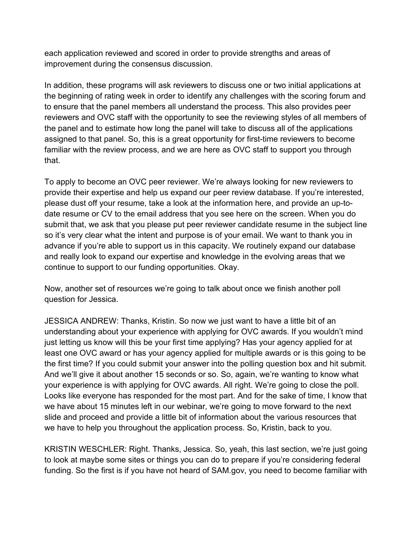improvement during the consensus discussion. each application reviewed and scored in order to provide strengths and areas of

 assigned to that panel. So, this is a great opportunity for first-time reviewers to become that. In addition, these programs will ask reviewers to discuss one or two initial applications at the beginning of rating week in order to identify any challenges with the scoring forum and to ensure that the panel members all understand the process. This also provides peer reviewers and OVC staff with the opportunity to see the reviewing styles of all members of the panel and to estimate how long the panel will take to discuss all of the applications familiar with the review process, and we are here as OVC staff to support you through

 provide their expertise and help us expand our peer review database. If you're interested, advance if you're able to support us in this capacity. We routinely expand our database continue to support to our funding opportunities. Okay. To apply to become an OVC peer reviewer. We're always looking for new reviewers to please dust off your resume, take a look at the information here, and provide an up-todate resume or CV to the email address that you see here on the screen. When you do submit that, we ask that you please put peer reviewer candidate resume in the subject line so it's very clear what the intent and purpose is of your email. We want to thank you in and really look to expand our expertise and knowledge in the evolving areas that we

Now, another set of resources we're going to talk about once we finish another poll question for Jessica.

 understanding about your experience with applying for OVC awards. If you wouldn't mind just letting us know will this be your first time applying? Has your agency applied for at And we'll give it about another 15 seconds or so. So, again, we're wanting to know what your experience is with applying for OVC awards. All right. We're going to close the poll. JESSICA ANDREW: Thanks, Kristin. So now we just want to have a little bit of an least one OVC award or has your agency applied for multiple awards or is this going to be the first time? If you could submit your answer into the polling question box and hit submit. Looks like everyone has responded for the most part. And for the sake of time, I know that we have about 15 minutes left in our webinar, we're going to move forward to the next slide and proceed and provide a little bit of information about the various resources that we have to help you throughout the application process. So, Kristin, back to you.

KRISTIN WESCHLER: Right. Thanks, Jessica. So, yeah, this last section, we're just going to look at maybe some sites or things you can do to prepare if you're considering federal funding. So the first is if you have not heard of SAM.gov, you need to become familiar with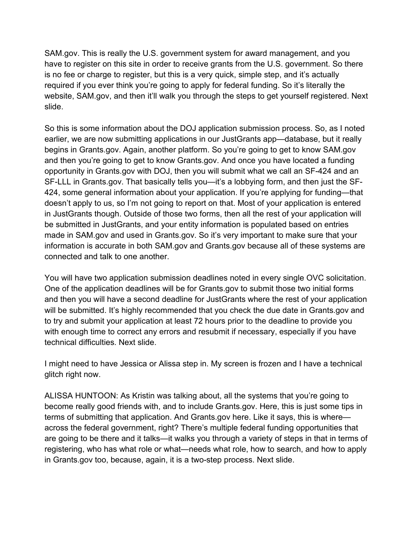SAM.gov. This is really the U.S. government system for award management, and you is no fee or charge to register, but this is a very quick, simple step, and it's actually slide. have to register on this site in order to receive grants from the U.S. government. So there required if you ever think you're going to apply for federal funding. So it's literally the website, SAM.gov, and then it'll walk you through the steps to get yourself registered. Next

slide.<br>So this is some information about the DOJ application submission process. So, as I noted opportunity in [Grants.gov](https://Grants.gov) with DOJ, then you will submit what we call an SF-424 and an connected and talk to one another. earlier, we are now submitting applications in our JustGrants app—database, but it really begins in [Grants.gov](https://Grants.gov). Again, another platform. So you're going to get to know SAM.gov and then you're going to get to know [Grants.gov.](https://Grants.gov) And once you have located a funding SF-LLL in [Grants.gov](https://Grants.gov). That basically tells you—it's a lobbying form, and then just the SF-424, some general information about your application. If you're applying for funding—that doesn't apply to us, so I'm not going to report on that. Most of your application is entered in JustGrants though. Outside of those two forms, then all the rest of your application will be submitted in JustGrants, and your entity information is populated based on entries made in SAM.gov and used in [Grants.gov](https://Grants.gov). So it's very important to make sure that your information is accurate in both SAM.gov and [Grants.gov](https://Grants.gov) because all of these systems are

 to try and submit your application at least 72 hours prior to the deadline to provide you technical difficulties. Next slide. You will have two application submission deadlines noted in every single OVC solicitation. One of the application deadlines will be for [Grants.gov](https://Grants.gov) to submit those two initial forms and then you will have a second deadline for JustGrants where the rest of your application will be submitted. It's highly recommended that you check the due date in [Grants.gov](https://Grants.gov) and with enough time to correct any errors and resubmit if necessary, especially if you have

I might need to have Jessica or Alissa step in. My screen is frozen and I have a technical glitch right now.

 in [Grants.gov](https://Grants.gov) too, because, again, it is a two-step process. Next slide. ALISSA HUNTOON: As Kristin was talking about, all the systems that you're going to become really good friends with, and to include [Grants.gov](https://Grants.gov). Here, this is just some tips in terms of submitting that application. And [Grants.gov](https://Grants.gov) here. Like it says, this is where across the federal government, right? There's multiple federal funding opportunities that are going to be there and it talks—it walks you through a variety of steps in that in terms of registering, who has what role or what—needs what role, how to search, and how to apply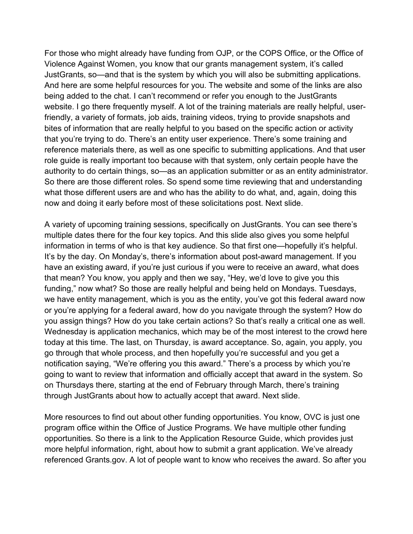For those who might already have funding from OJP, or the COPS Office, or the Office of Violence Against Women, you know that our grants management system, it's called friendly, a variety of formats, job aids, training videos, trying to provide snapshots and that you're trying to do. There's an entity user experience. There's some training and now and doing it early before most of these solicitations post. Next slide. JustGrants, so—and that is the system by which you will also be submitting applications. And here are some helpful resources for you. The website and some of the links are also being added to the chat. I can't recommend or refer you enough to the JustGrants website. I go there frequently myself. A lot of the training materials are really helpful, userbites of information that are really helpful to you based on the specific action or activity reference materials there, as well as one specific to submitting applications. And that user role guide is really important too because with that system, only certain people have the authority to do certain things, so—as an application submitter or as an entity administrator. So there are those different roles. So spend some time reviewing that and understanding what those different users are and who has the ability to do what, and, again, doing this

 multiple dates there for the four key topics. And this slide also gives you some helpful have an existing award, if you're just curious if you were to receive an award, what does funding," now what? So those are really helpful and being held on Mondays. Tuesdays, or you're applying for a federal award, how do you navigate through the system? How do through JustGrants about how to actually accept that award. Next slide. A variety of upcoming training sessions, specifically on JustGrants. You can see there's information in terms of who is that key audience. So that first one—hopefully it's helpful. It's by the day. On Monday's, there's information about post-award management. If you that mean? You know, you apply and then we say, "Hey, we'd love to give you this we have entity management, which is you as the entity, you've got this federal award now you assign things? How do you take certain actions? So that's really a critical one as well. Wednesday is application mechanics, which may be of the most interest to the crowd here today at this time. The last, on Thursday, is award acceptance. So, again, you apply, you go through that whole process, and then hopefully you're successful and you get a notification saying, "We're offering you this award." There's a process by which you're going to want to review that information and officially accept that award in the system. So on Thursdays there, starting at the end of February through March, there's training

 program office within the Office of Justice Programs. We have multiple other funding referenced [Grants.gov.](https://Grants.gov) A lot of people want to know who receives the award. So after you More resources to find out about other funding opportunities. You know, OVC is just one opportunities. So there is a link to the Application Resource Guide, which provides just more helpful information, right, about how to submit a grant application. We've already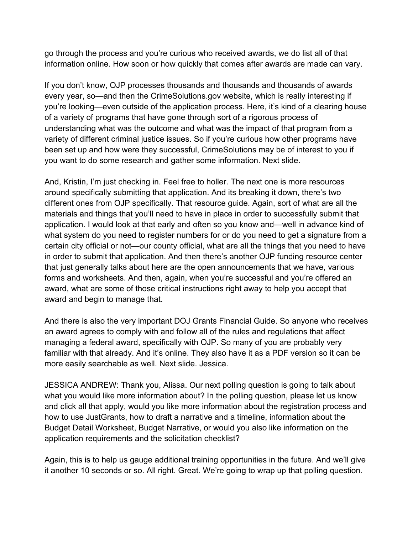go through the process and you're curious who received awards, we do list all of that information online. How soon or how quickly that comes after awards are made can vary.

 of a variety of programs that have gone through sort of a rigorous process of been set up and how were they successful, CrimeSolutions may be of interest to you if you want to do some research and gather some information. Next slide. If you don't know, OJP processes thousands and thousands and thousands of awards every year, so—and then the [CrimeSolutions.gov](https://CrimeSolutions.gov) website, which is really interesting if you're looking—even outside of the application process. Here, it's kind of a clearing house understanding what was the outcome and what was the impact of that program from a variety of different criminal justice issues. So if you're curious how other programs have

 materials and things that you'll need to have in place in order to successfully submit that what system do you need to register numbers for or do you need to get a signature from a forms and worksheets. And then, again, when you're successful and you're offered an award and begin to manage that. And, Kristin, I'm just checking in. Feel free to holler. The next one is more resources around specifically submitting that application. And its breaking it down, there's two different ones from OJP specifically. That resource guide. Again, sort of what are all the application. I would look at that early and often so you know and—well in advance kind of certain city official or not—our county official, what are all the things that you need to have in order to submit that application. And then there's another OJP funding resource center that just generally talks about here are the open announcements that we have, various award, what are some of those critical instructions right away to help you accept that

 an award agrees to comply with and follow all of the rules and regulations that affect more easily searchable as well. Next slide. Jessica. And there is also the very important DOJ Grants Financial Guide. So anyone who receives managing a federal award, specifically with OJP. So many of you are probably very familiar with that already. And it's online. They also have it as a PDF version so it can be

 JESSICA ANDREW: Thank you, Alissa. Our next polling question is going to talk about application requirements and the solicitation checklist? what you would like more information about? In the polling question, please let us know and click all that apply, would you like more information about the registration process and how to use JustGrants, how to draft a narrative and a timeline, information about the Budget Detail Worksheet, Budget Narrative, or would you also like information on the

 it another 10 seconds or so. All right. Great. We're going to wrap up that polling question. Again, this is to help us gauge additional training opportunities in the future. And we'll give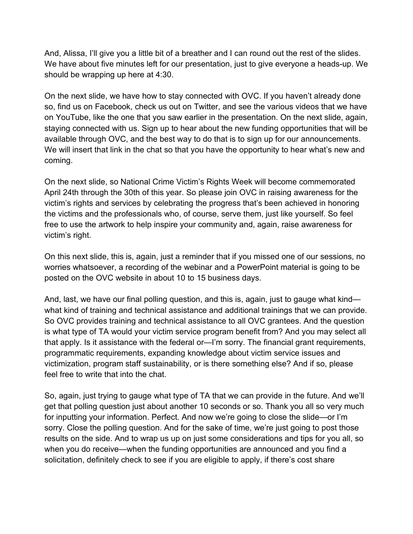should be wrapping up here at 4:30. And, Alissa, I'll give you a little bit of a breather and I can round out the rest of the slides. We have about five minutes left for our presentation, just to give everyone a heads-up. We

 so, find us on Facebook, check us out on Twitter, and see the various videos that we have coming. On the next slide, we have how to stay connected with OVC. If you haven't already done on YouTube, like the one that you saw earlier in the presentation. On the next slide, again, staying connected with us. Sign up to hear about the new funding opportunities that will be available through OVC, and the best way to do that is to sign up for our announcements. We will insert that link in the chat so that you have the opportunity to hear what's new and

victim's right. On the next slide, so National Crime Victim's Rights Week will become commemorated April 24th through the 30th of this year. So please join OVC in raising awareness for the victim's rights and services by celebrating the progress that's been achieved in honoring the victims and the professionals who, of course, serve them, just like yourself. So feel free to use the artwork to help inspire your community and, again, raise awareness for

victim's right.<br>On this next slide, this is, again, just a reminder that if you missed one of our sessions, no worries whatsoever, a recording of the webinar and a PowerPoint material is going to be posted on the OVC website in about 10 to 15 business days.

 is what type of TA would your victim service program benefit from? And you may select all feel free to write that into the chat. And, last, we have our final polling question, and this is, again, just to gauge what kind what kind of training and technical assistance and additional trainings that we can provide. So OVC provides training and technical assistance to all OVC grantees. And the question that apply. Is it assistance with the federal or—I'm sorry. The financial grant requirements, programmatic requirements, expanding knowledge about victim service issues and victimization, program staff sustainability, or is there something else? And if so, please

 get that polling question just about another 10 seconds or so. Thank you all so very much for inputting your information. Perfect. And now we're going to close the slide—or I'm sorry. Close the polling question. And for the sake of time, we're just going to post those So, again, just trying to gauge what type of TA that we can provide in the future. And we'll results on the side. And to wrap us up on just some considerations and tips for you all, so when you do receive—when the funding opportunities are announced and you find a solicitation, definitely check to see if you are eligible to apply, if there's cost share